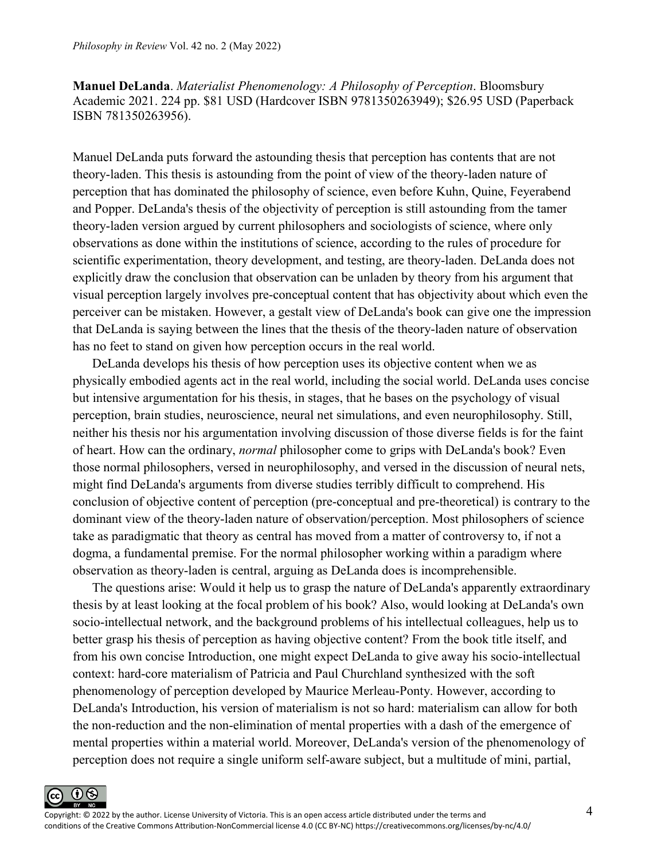**Manuel DeLanda**. *Materialist Phenomenology: A Philosophy of Perception*. Bloomsbury Academic 2021. 224 pp. \$81 USD (Hardcover ISBN 9781350263949); \$26.95 USD (Paperback ISBN 781350263956).

Manuel DeLanda puts forward the astounding thesis that perception has contents that are not theory-laden. This thesis is astounding from the point of view of the theory-laden nature of perception that has dominated the philosophy of science, even before Kuhn, Quine, Feyerabend and Popper. DeLanda's thesis of the objectivity of perception is still astounding from the tamer theory-laden version argued by current philosophers and sociologists of science, where only observations as done within the institutions of science, according to the rules of procedure for scientific experimentation, theory development, and testing, are theory-laden. DeLanda does not explicitly draw the conclusion that observation can be unladen by theory from his argument that visual perception largely involves pre-conceptual content that has objectivity about which even the perceiver can be mistaken. However, a gestalt view of DeLanda's book can give one the impression that DeLanda is saying between the lines that the thesis of the theory-laden nature of observation has no feet to stand on given how perception occurs in the real world.

DeLanda develops his thesis of how perception uses its objective content when we as physically embodied agents act in the real world, including the social world. DeLanda uses concise but intensive argumentation for his thesis, in stages, that he bases on the psychology of visual perception, brain studies, neuroscience, neural net simulations, and even neurophilosophy. Still, neither his thesis nor his argumentation involving discussion of those diverse fields is for the faint of heart. How can the ordinary, *normal* philosopher come to grips with DeLanda's book? Even those normal philosophers, versed in neurophilosophy, and versed in the discussion of neural nets, might find DeLanda's arguments from diverse studies terribly difficult to comprehend. His conclusion of objective content of perception (pre-conceptual and pre-theoretical) is contrary to the dominant view of the theory-laden nature of observation/perception. Most philosophers of science take as paradigmatic that theory as central has moved from a matter of controversy to, if not a dogma, a fundamental premise. For the normal philosopher working within a paradigm where observation as theory-laden is central, arguing as DeLanda does is incomprehensible.

The questions arise: Would it help us to grasp the nature of DeLanda's apparently extraordinary thesis by at least looking at the focal problem of his book? Also, would looking at DeLanda's own socio-intellectual network, and the background problems of his intellectual colleagues, help us to better grasp his thesis of perception as having objective content? From the book title itself, and from his own concise Introduction, one might expect DeLanda to give away his socio-intellectual context: hard-core materialism of Patricia and Paul Churchland synthesized with the soft phenomenology of perception developed by Maurice Merleau-Ponty. However, according to DeLanda's Introduction, his version of materialism is not so hard: materialism can allow for both the non-reduction and the non-elimination of mental properties with a dash of the emergence of mental properties within a material world. Moreover, DeLanda's version of the phenomenology of perception does not require a single uniform self-aware subject, but a multitude of mini, partial,

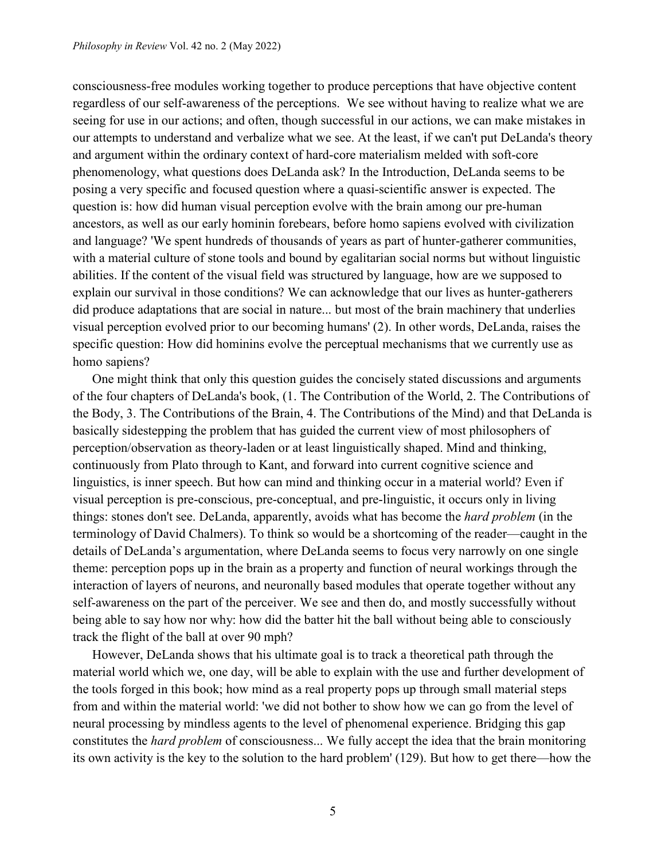consciousness-free modules working together to produce perceptions that have objective content regardless of our self-awareness of the perceptions. We see without having to realize what we are seeing for use in our actions; and often, though successful in our actions, we can make mistakes in our attempts to understand and verbalize what we see. At the least, if we can't put DeLanda's theory and argument within the ordinary context of hard-core materialism melded with soft-core phenomenology, what questions does DeLanda ask? In the Introduction, DeLanda seems to be posing a very specific and focused question where a quasi-scientific answer is expected. The question is: how did human visual perception evolve with the brain among our pre-human ancestors, as well as our early hominin forebears, before homo sapiens evolved with civilization and language? 'We spent hundreds of thousands of years as part of hunter-gatherer communities, with a material culture of stone tools and bound by egalitarian social norms but without linguistic abilities. If the content of the visual field was structured by language, how are we supposed to explain our survival in those conditions? We can acknowledge that our lives as hunter-gatherers did produce adaptations that are social in nature... but most of the brain machinery that underlies visual perception evolved prior to our becoming humans' (2). In other words, DeLanda, raises the specific question: How did hominins evolve the perceptual mechanisms that we currently use as homo sapiens?

One might think that only this question guides the concisely stated discussions and arguments of the four chapters of DeLanda's book, (1. The Contribution of the World, 2. The Contributions of the Body, 3. The Contributions of the Brain, 4. The Contributions of the Mind) and that DeLanda is basically sidestepping the problem that has guided the current view of most philosophers of perception/observation as theory-laden or at least linguistically shaped. Mind and thinking, continuously from Plato through to Kant, and forward into current cognitive science and linguistics, is inner speech. But how can mind and thinking occur in a material world? Even if visual perception is pre-conscious, pre-conceptual, and pre-linguistic, it occurs only in living things: stones don't see. DeLanda, apparently, avoids what has become the *hard problem* (in the terminology of David Chalmers). To think so would be a shortcoming of the reader—caught in the details of DeLanda's argumentation, where DeLanda seems to focus very narrowly on one single theme: perception pops up in the brain as a property and function of neural workings through the interaction of layers of neurons, and neuronally based modules that operate together without any self-awareness on the part of the perceiver. We see and then do, and mostly successfully without being able to say how nor why: how did the batter hit the ball without being able to consciously track the flight of the ball at over 90 mph?

However, DeLanda shows that his ultimate goal is to track a theoretical path through the material world which we, one day, will be able to explain with the use and further development of the tools forged in this book; how mind as a real property pops up through small material steps from and within the material world: 'we did not bother to show how we can go from the level of neural processing by mindless agents to the level of phenomenal experience. Bridging this gap constitutes the *hard problem* of consciousness... We fully accept the idea that the brain monitoring its own activity is the key to the solution to the hard problem' (129). But how to get there—how the